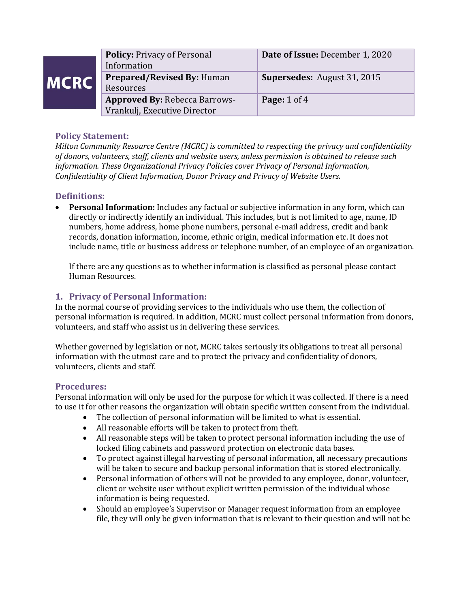| <b>MCRC</b> | <b>Policy: Privacy of Personal</b><br>Information                    | Date of Issue: December 1, 2020    |
|-------------|----------------------------------------------------------------------|------------------------------------|
|             | <b>Prepared/Revised By: Human</b><br>Resources                       | <b>Supersedes: August 31, 2015</b> |
|             | <b>Approved By: Rebecca Barrows-</b><br>Vrankulj, Executive Director | <b>Page:</b> $1$ of $4$            |

# **Policy Statement:**

*Milton Community Resource Centre (MCRC) is committed to respecting the privacy and confidentiality of donors, volunteers, staff, clients and website users, unless permission is obtained to release such information. These Organizational Privacy Policies cover Privacy of Personal Information, Confidentiality of Client Information, Donor Privacy and Privacy of Website Users.* 

## **Definitions:**

• **Personal Information:** Includes any factual or subjective information in any form, which can directly or indirectly identify an individual. This includes, but is not limited to age, name, ID numbers, home address, home phone numbers, personal e-mail address, credit and bank records, donation information, income, ethnic origin, medical information etc. It does not include name, title or business address or telephone number, of an employee of an organization.

If there are any questions as to whether information is classified as personal please contact Human Resources.

## **1. Privacy of Personal Information:**

In the normal course of providing services to the individuals who use them, the collection of personal information is required. In addition, MCRC must collect personal information from donors, volunteers, and staff who assist us in delivering these services.

Whether governed by legislation or not, MCRC takes seriously its obligations to treat all personal information with the utmost care and to protect the privacy and confidentiality of donors, volunteers, clients and staff.

#### **Procedures:**

Personal information will only be used for the purpose for which it was collected. If there is a need to use it for other reasons the organization will obtain specific written consent from the individual.

- The collection of personal information will be limited to what is essential.
- All reasonable efforts will be taken to protect from theft.
- All reasonable steps will be taken to protect personal information including the use of locked filing cabinets and password protection on electronic data bases.
- To protect against illegal harvesting of personal information, all necessary precautions will be taken to secure and backup personal information that is stored electronically.
- Personal information of others will not be provided to any employee, donor, volunteer, client or website user without explicit written permission of the individual whose information is being requested.
- Should an employee's Supervisor or Manager request information from an employee file, they will only be given information that is relevant to their question and will not be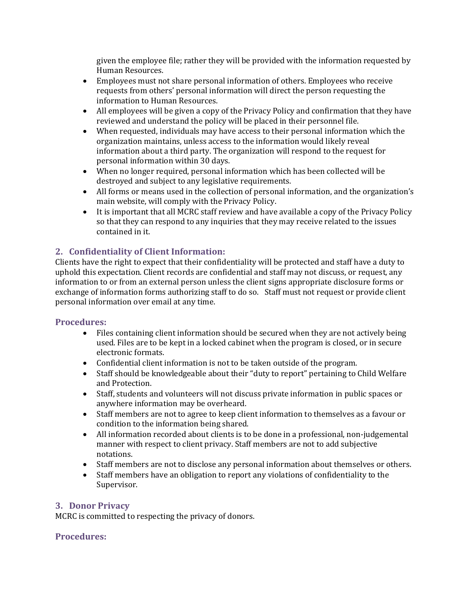given the employee file; rather they will be provided with the information requested by Human Resources.

- Employees must not share personal information of others. Employees who receive requests from others' personal information will direct the person requesting the information to Human Resources.
- All employees will be given a copy of the Privacy Policy and confirmation that they have reviewed and understand the policy will be placed in their personnel file.
- When requested, individuals may have access to their personal information which the organization maintains, unless access to the information would likely reveal information about a third party. The organization will respond to the request for personal information within 30 days.
- When no longer required, personal information which has been collected will be destroyed and subject to any legislative requirements.
- All forms or means used in the collection of personal information, and the organization's main website, will comply with the Privacy Policy.
- It is important that all MCRC staff review and have available a copy of the Privacy Policy so that they can respond to any inquiries that they may receive related to the issues contained in it.

# **2. Confidentiality of Client Information:**

Clients have the right to expect that their confidentiality will be protected and staff have a duty to uphold this expectation. Client records are confidential and staff may not discuss, or request, any information to or from an external person unless the client signs appropriate disclosure forms or exchange of information forms authorizing staff to do so. Staff must not request or provide client personal information over email at any time.

#### **Procedures:**

- Files containing client information should be secured when they are not actively being used. Files are to be kept in a locked cabinet when the program is closed, or in secure electronic formats.
- Confidential client information is not to be taken outside of the program.
- Staff should be knowledgeable about their "duty to report" pertaining to Child Welfare and Protection.
- Staff, students and volunteers will not discuss private information in public spaces or anywhere information may be overheard.
- Staff members are not to agree to keep client information to themselves as a favour or condition to the information being shared.
- All information recorded about clients is to be done in a professional, non-judgemental manner with respect to client privacy. Staff members are not to add subjective notations.
- Staff members are not to disclose any personal information about themselves or others.
- Staff members have an obligation to report any violations of confidentiality to the Supervisor.

#### **3. Donor Privacy**

MCRC is committed to respecting the privacy of donors.

#### **Procedures:**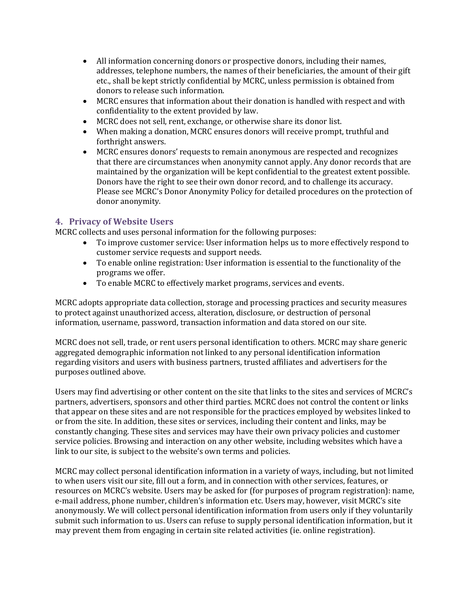- All information concerning donors or prospective donors, including their names, addresses, telephone numbers, the names of their beneficiaries, the amount of their gift etc., shall be kept strictly confidential by MCRC, unless permission is obtained from donors to release such information.
- MCRC ensures that information about their donation is handled with respect and with confidentiality to the extent provided by law.
- MCRC does not sell, rent, exchange, or otherwise share its donor list.
- When making a donation, MCRC ensures donors will receive prompt, truthful and forthright answers.
- MCRC ensures donors' requests to remain anonymous are respected and recognizes that there are circumstances when anonymity cannot apply. Any donor records that are maintained by the organization will be kept confidential to the greatest extent possible. Donors have the right to see their own donor record, and to challenge its accuracy. Please see MCRC's Donor Anonymity Policy for detailed procedures on the protection of donor anonymity.

#### **4. Privacy of Website Users**

MCRC collects and uses personal information for the following purposes:

- To improve customer service: User information helps us to more effectively respond to customer service requests and support needs.
- To enable online registration: User information is essential to the functionality of the programs we offer.
- To enable MCRC to effectively market programs, services and events.

MCRC adopts appropriate data collection, storage and processing practices and security measures to protect against unauthorized access, alteration, disclosure, or destruction of personal information, username, password, transaction information and data stored on our site.

MCRC does not sell, trade, or rent users personal identification to others. MCRC may share generic aggregated demographic information not linked to any personal identification information regarding visitors and users with business partners, trusted affiliates and advertisers for the purposes outlined above.

Users may find advertising or other content on the site that links to the sites and services of MCRC's partners, advertisers, sponsors and other third parties. MCRC does not control the content or links that appear on these sites and are not responsible for the practices employed by websites linked to or from the site. In addition, these sites or services, including their content and links, may be constantly changing. These sites and services may have their own privacy policies and customer service policies. Browsing and interaction on any other website, including websites which have a link to our site, is subject to the website's own terms and policies.

MCRC may collect personal identification information in a variety of ways, including, but not limited to when users visit our site, fill out a form, and in connection with other services, features, or resources on MCRC's website. Users may be asked for (for purposes of program registration): name, e-mail address, phone number, children's information etc. Users may, however, visit MCRC's site anonymously. We will collect personal identification information from users only if they voluntarily submit such information to us. Users can refuse to supply personal identification information, but it may prevent them from engaging in certain site related activities (ie. online registration).